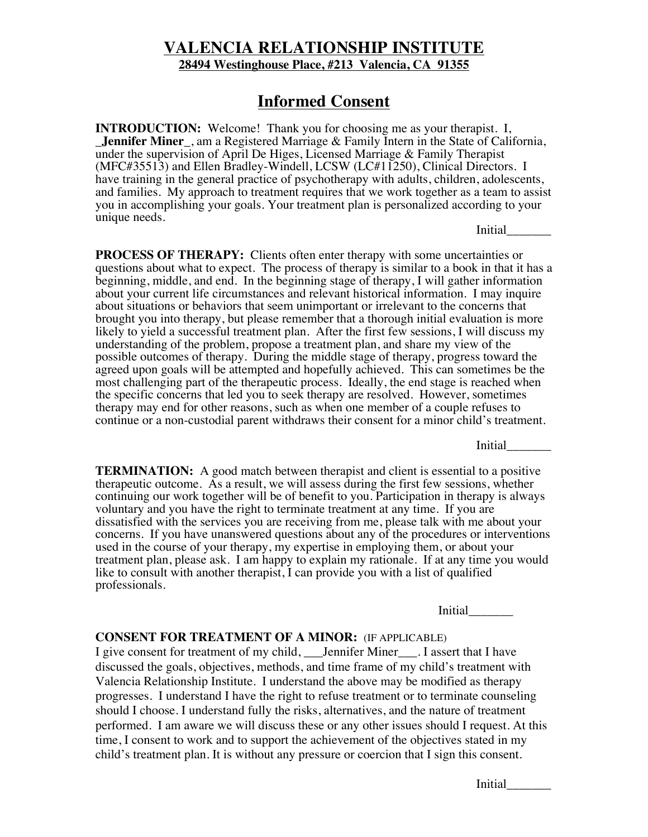## **VALENCIA RELATIONSHIP INSTITUTE 28494 Westinghouse Place, #213 Valencia, CA 91355**

## **Informed Consent**

**INTRODUCTION:** Welcome! Thank you for choosing me as your therapist. I, \_**Jennifer Miner**\_, am a Registered Marriage & Family Intern in the State of California, under the supervision of April De Higes, Licensed Marriage & Family Therapist (MFC#35513) and Ellen Bradley-Windell, LCSW (LC#11250), Clinical Directors. I have training in the general practice of psychotherapy with adults, children, adolescents, and families. My approach to treatment requires that we work together as a team to assist you in accomplishing your goals. Your treatment plan is personalized according to your unique needs.

Initial\_\_\_\_\_\_\_

**PROCESS OF THERAPY:** Clients often enter therapy with some uncertainties or questions about what to expect. The process of therapy is similar to a book in that it has a beginning, middle, and end. In the beginning stage of therapy, I will gather information about your current life circumstances and relevant historical information. I may inquire about situations or behaviors that seem unimportant or irrelevant to the concerns that brought you into therapy, but please remember that a thorough initial evaluation is more likely to yield a successful treatment plan. After the first few sessions, I will discuss my understanding of the problem, propose a treatment plan, and share my view of the possible outcomes of therapy. During the middle stage of therapy, progress toward the agreed upon goals will be attempted and hopefully achieved. This can sometimes be the most challenging part of the therapeutic process. Ideally, the end stage is reached when the specific concerns that led you to seek therapy are resolved. However, sometimes therapy may end for other reasons, such as when one member of a couple refuses to continue or a non-custodial parent withdraws their consent for a minor child's treatment.

Initial\_\_\_\_\_\_\_

**TERMINATION:** A good match between therapist and client is essential to a positive therapeutic outcome. As a result, we will assess during the first few sessions, whether continuing our work together will be of benefit to you. Participation in therapy is always voluntary and you have the right to terminate treatment at any time. If you are dissatisfied with the services you are receiving from me, please talk with me about your concerns. If you have unanswered questions about any of the procedures or interventions used in the course of your therapy, my expertise in employing them, or about your treatment plan, please ask. I am happy to explain my rationale. If at any time you would like to consult with another therapist, I can provide you with a list of qualified professionals.

Initial\_\_\_\_\_\_\_

## **CONSENT FOR TREATMENT OF A MINOR:** (IF APPLICABLE)

I give consent for treatment of my child, \_\_\_Jennifer Miner\_\_\_. I assert that I have discussed the goals, objectives, methods, and time frame of my child's treatment with Valencia Relationship Institute. I understand the above may be modified as therapy progresses. I understand I have the right to refuse treatment or to terminate counseling should I choose. I understand fully the risks, alternatives, and the nature of treatment performed. I am aware we will discuss these or any other issues should I request. At this time, I consent to work and to support the achievement of the objectives stated in my child's treatment plan. It is without any pressure or coercion that I sign this consent.

Initial\_\_\_\_\_\_\_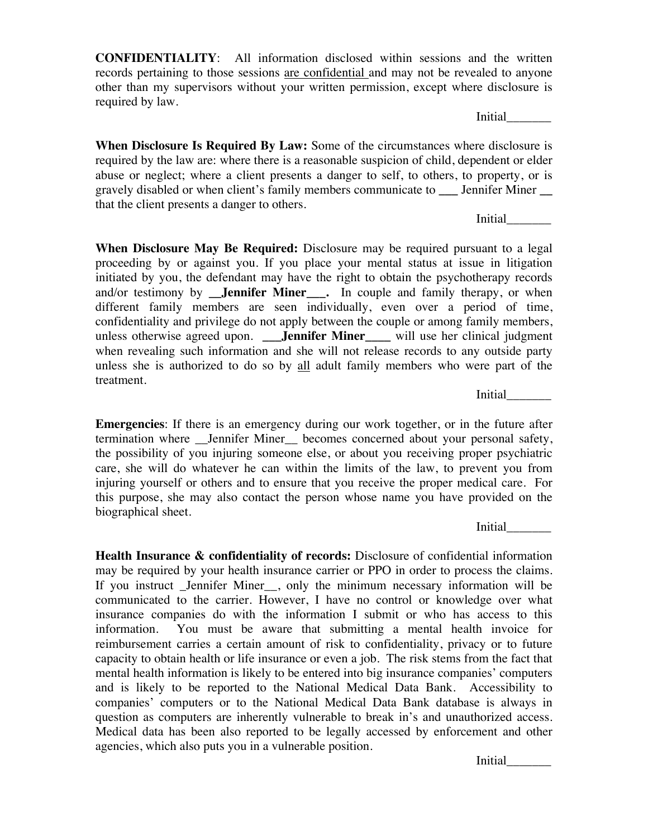**CONFIDENTIALITY**: All information disclosed within sessions and the written records pertaining to those sessions are confidential and may not be revealed to anyone other than my supervisors without your written permission, except where disclosure is required by law.

Initial\_\_\_\_\_\_\_

**When Disclosure Is Required By Law:** Some of the circumstances where disclosure is required by the law are: where there is a reasonable suspicion of child, dependent or elder abuse or neglect; where a client presents a danger to self, to others, to property, or is gravely disabled or when client's family members communicate to **\_\_\_** Jennifer Miner **\_\_** that the client presents a danger to others.

Initial\_\_\_\_\_\_\_

**When Disclosure May Be Required:** Disclosure may be required pursuant to a legal proceeding by or against you. If you place your mental status at issue in litigation initiated by you, the defendant may have the right to obtain the psychotherapy records and/or testimony by **Jennifer Miner** . In couple and family therapy, or when different family members are seen individually, even over a period of time, confidentiality and privilege do not apply between the couple or among family members, unless otherwise agreed upon. **\_\_\_Jennifer Miner\_\_\_\_** will use her clinical judgment when revealing such information and she will not release records to any outside party unless she is authorized to do so by all adult family members who were part of the treatment.

Initial\_\_\_\_\_\_\_

**Emergencies**: If there is an emergency during our work together, or in the future after termination where \_\_Jennifer Miner\_\_ becomes concerned about your personal safety, the possibility of you injuring someone else, or about you receiving proper psychiatric care, she will do whatever he can within the limits of the law, to prevent you from injuring yourself or others and to ensure that you receive the proper medical care. For this purpose, she may also contact the person whose name you have provided on the biographical sheet.

Initial\_\_\_\_\_\_\_

**Health Insurance & confidentiality of records:** Disclosure of confidential information may be required by your health insurance carrier or PPO in order to process the claims. If you instruct \_Jennifer Miner\_\_, only the minimum necessary information will be communicated to the carrier. However, I have no control or knowledge over what insurance companies do with the information I submit or who has access to this information. You must be aware that submitting a mental health invoice for reimbursement carries a certain amount of risk to confidentiality, privacy or to future capacity to obtain health or life insurance or even a job. The risk stems from the fact that mental health information is likely to be entered into big insurance companies' computers and is likely to be reported to the National Medical Data Bank. Accessibility to companies' computers or to the National Medical Data Bank database is always in question as computers are inherently vulnerable to break in's and unauthorized access. Medical data has been also reported to be legally accessed by enforcement and other agencies, which also puts you in a vulnerable position.

Initial\_\_\_\_\_\_\_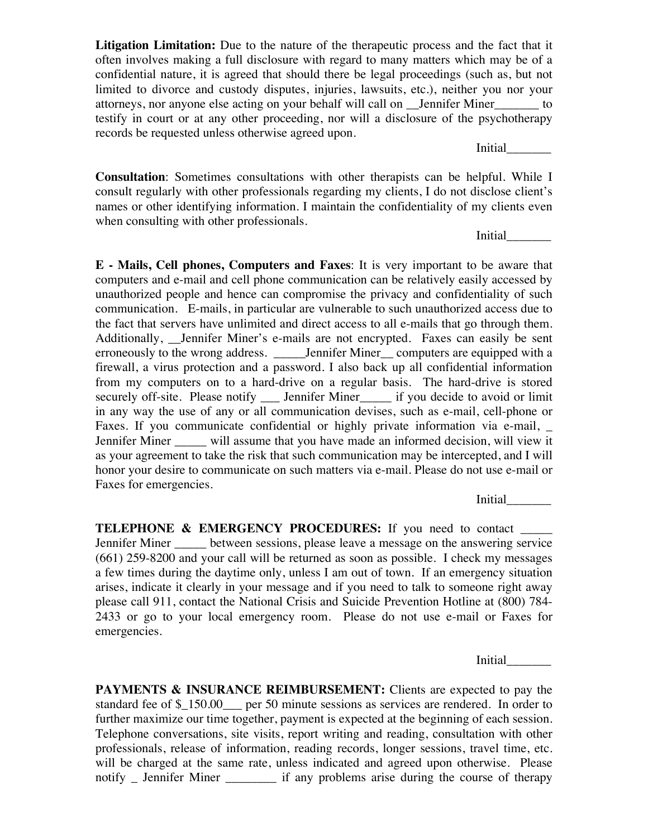**Litigation Limitation:** Due to the nature of the therapeutic process and the fact that it often involves making a full disclosure with regard to many matters which may be of a confidential nature, it is agreed that should there be legal proceedings (such as, but not limited to divorce and custody disputes, injuries, lawsuits, etc.), neither you nor your attorneys, nor anyone else acting on your behalf will call on \_\_Jennifer Miner\_\_\_\_\_\_\_ to testify in court or at any other proceeding, nor will a disclosure of the psychotherapy records be requested unless otherwise agreed upon.

Initial\_\_\_\_\_\_\_

**Consultation**: Sometimes consultations with other therapists can be helpful. While I consult regularly with other professionals regarding my clients, I do not disclose client's names or other identifying information. I maintain the confidentiality of my clients even when consulting with other professionals.

Initial\_\_\_\_\_\_\_

**E - Mails, Cell phones, Computers and Faxes**: It is very important to be aware that computers and e-mail and cell phone communication can be relatively easily accessed by unauthorized people and hence can compromise the privacy and confidentiality of such communication. E-mails, in particular are vulnerable to such unauthorized access due to the fact that servers have unlimited and direct access to all e-mails that go through them. Additionally, Jennifer Miner's e-mails are not encrypted. Faxes can easily be sent erroneously to the wrong address. \_\_\_\_\_\_Jennifer Miner\_\_\_ computers are equipped with a firewall, a virus protection and a password. I also back up all confidential information from my computers on to a hard-drive on a regular basis. The hard-drive is stored securely off-site. Please notify \_\_\_\_ Jennifer Miner\_\_\_\_\_\_ if you decide to avoid or limit in any way the use of any or all communication devises, such as e-mail, cell-phone or Faxes. If you communicate confidential or highly private information via e-mail, \_ Jennifer Miner \_\_\_\_\_ will assume that you have made an informed decision, will view it as your agreement to take the risk that such communication may be intercepted, and I will honor your desire to communicate on such matters via e-mail. Please do not use e-mail or Faxes for emergencies.

Initial\_\_\_\_\_\_\_

**TELEPHONE & EMERGENCY PROCEDURES:** If you need to contact \_\_\_\_\_ Jennifer Miner **Lack** between sessions, please leave a message on the answering service (661) 259-8200 and your call will be returned as soon as possible. I check my messages a few times during the daytime only, unless I am out of town. If an emergency situation arises, indicate it clearly in your message and if you need to talk to someone right away please call 911, contact the National Crisis and Suicide Prevention Hotline at (800) 784- 2433 or go to your local emergency room. Please do not use e-mail or Faxes for emergencies.

Initial\_\_\_\_\_\_\_

**PAYMENTS & INSURANCE REIMBURSEMENT:** Clients are expected to pay the standard fee of \$ 150.00 per 50 minute sessions as services are rendered. In order to further maximize our time together, payment is expected at the beginning of each session. Telephone conversations, site visits, report writing and reading, consultation with other professionals, release of information, reading records, longer sessions, travel time, etc. will be charged at the same rate, unless indicated and agreed upon otherwise. Please notify \_ Jennifer Miner \_\_\_\_\_\_\_\_ if any problems arise during the course of therapy